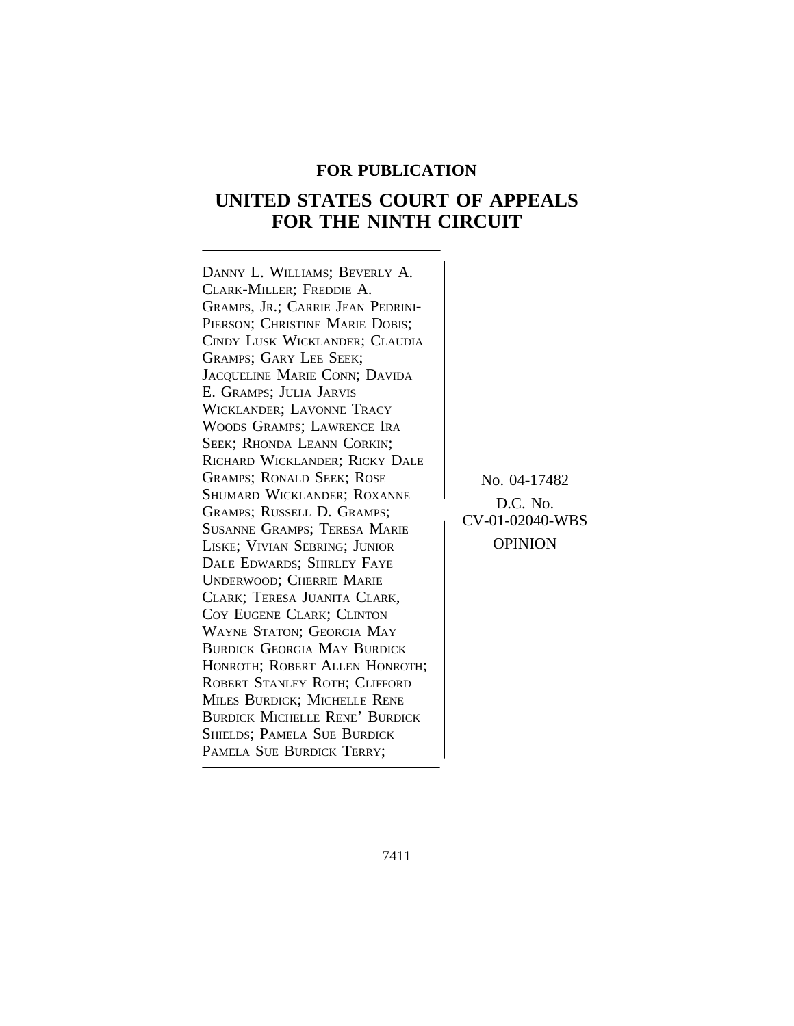## **FOR PUBLICATION**

# **UNITED STATES COURT OF APPEALS FOR THE NINTH CIRCUIT**

<sup>D</sup>ANNY L. WILLIAMS; BEVERLY A. CLARK-MILLER; FREDDIE A. GRAMPS, JR.; CARRIE JEAN PEDRINI-PIERSON; CHRISTINE MARIE DOBIS; CINDY LUSK WICKLANDER; CLAUDIA GRAMPS; GARY LEE SEEK; JACQUELINE MARIE CONN; DAVIDA E. GRAMPS; JULIA JARVIS WICKLANDER; LAVONNE TRACY WOODS GRAMPS; LAWRENCE IRA SEEK; RHONDA LEANN CORKIN; RICHARD WICKLANDER; RICKY DALE GRAMPS; RONALD SEEK; ROSE No. 04-17482<br>Shumard Wicklander; Roxanne SHUMARD WICKLANDER; ROXANNE<br>
GRAMPS; RUSSELL D. GRAMPS;<br>
SUSANNE GRAMPS; TERESA MARIE CV-01-02040-WBS<br>
LISKE: VIVIAN SERRING: LUNIOR OPINION LISKE; VIVIAN SEBRING; JUNIOR DALE EDWARDS; SHIRLEY FAYE UNDERWOOD; CHERRIE MARIE CLARK; TERESA JUANITA CLARK, COY EUGENE CLARK; CLINTON WAYNE STATON; GEORGIA MAY BURDICK GEORGIA MAY BURDICK HONROTH; ROBERT ALLEN HONROTH; ROBERT STANLEY ROTH; CLIFFORD MILES BURDICK; MICHELLE RENE BURDICK MICHELLE RENE' BURDICK SHIELDS; PAMELA SUE BURDICK PAMELA SUE BURDICK TERRY;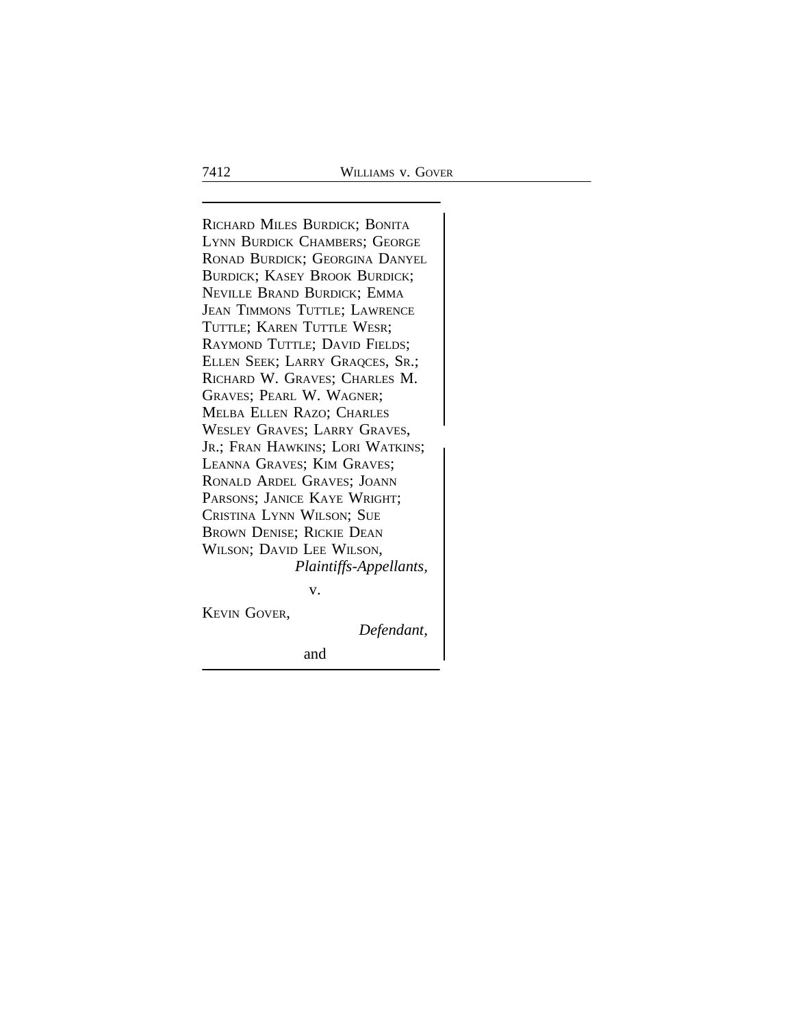<sup>R</sup>ICHARD MILES BURDICK; BONITA LYNN BURDICK CHAMBERS; GEORGE RONAD BURDICK; GEORGINA DANYEL BURDICK; KASEY BROOK BURDICK; NEVILLE BRAND BURDICK; EMMA JEAN TIMMONS TUTTLE; LAWRENCE TUTTLE; KAREN TUTTLE WESR; RAYMOND TUTTLE; DAVID FIELDS; ELLEN SEEK; LARRY GRAQCES, SR.; RICHARD W. GRAVES; CHARLES M. GRAVES; PEARL W. WAGNER; MELBA ELLEN RAZO; CHARLES WESLEY GRAVES; LARRY GRAVES, JR.; FRAN HAWKINS; LORI WATKINS; LEANNA GRAVES; KIM GRAVES; RONALD ARDEL GRAVES; JOANN PARSONS; JANICE KAYE WRIGHT; CRISTINA LYNN WILSON; SUE BROWN DENISE; RICKIE DEAN WILSON; DAVID LEE WILSON, *Plaintiffs-Appellants,*

v.

KEVIN GOVER,

*Defendant,*

and the contract of the contract of the contract of the contract of the contract of the contract of the contract of the contract of the contract of the contract of the contract of the contract of the contract of the contra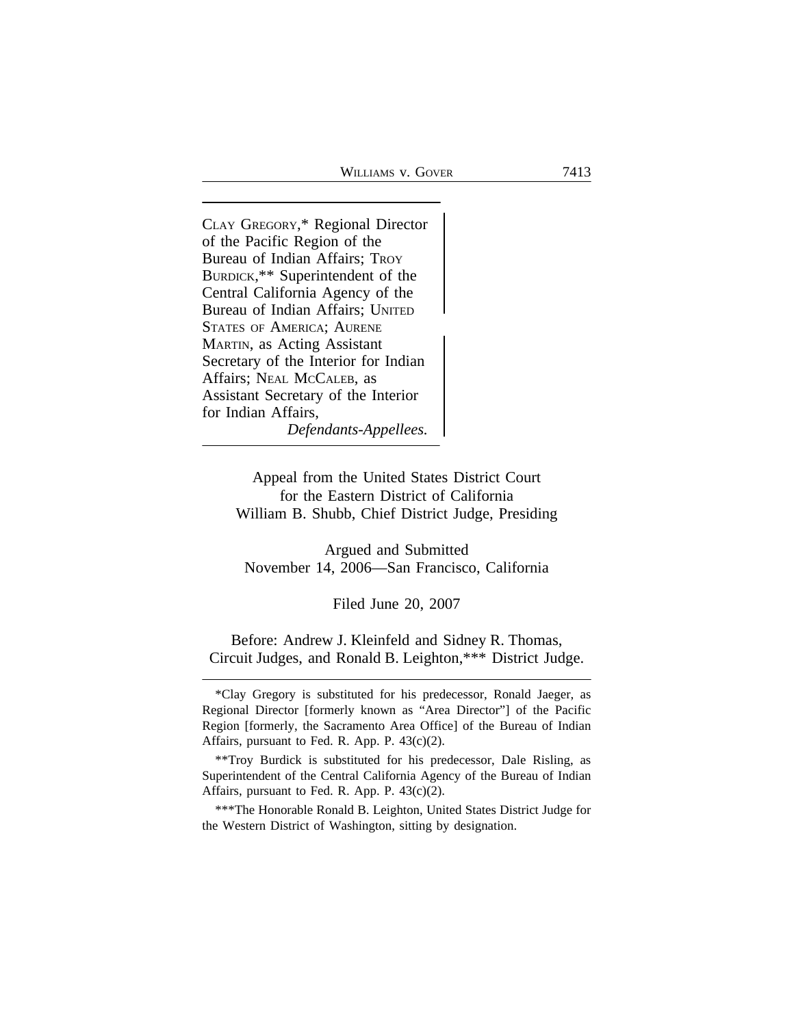<sup>C</sup>LAY GREGORY,\* Regional Director of the Pacific Region of the Bureau of Indian Affairs; TROY BURDICK,\*\* Superintendent of the Central California Agency of the Bureau of Indian Affairs; UNITED <sup>S</sup>TATES OF AMERICA; AURENE MARTIN, as Acting Assistant Secretary of the Interior for Indian Affairs; NEAL MCCALEB, as Assistant Secretary of the Interior for Indian Affairs, *Defendants-Appellees.*

> Appeal from the United States District Court for the Eastern District of California William B. Shubb, Chief District Judge, Presiding

Argued and Submitted November 14, 2006—San Francisco, California

Filed June 20, 2007

Before: Andrew J. Kleinfeld and Sidney R. Thomas, Circuit Judges, and Ronald B. Leighton,\*\*\* District Judge.

\*\*\*The Honorable Ronald B. Leighton, United States District Judge for the Western District of Washington, sitting by designation.

<sup>\*</sup>Clay Gregory is substituted for his predecessor, Ronald Jaeger, as Regional Director [formerly known as "Area Director"] of the Pacific Region [formerly, the Sacramento Area Office] of the Bureau of Indian Affairs, pursuant to Fed. R. App. P. 43(c)(2).

<sup>\*\*</sup>Troy Burdick is substituted for his predecessor, Dale Risling, as Superintendent of the Central California Agency of the Bureau of Indian Affairs, pursuant to Fed. R. App. P. 43(c)(2).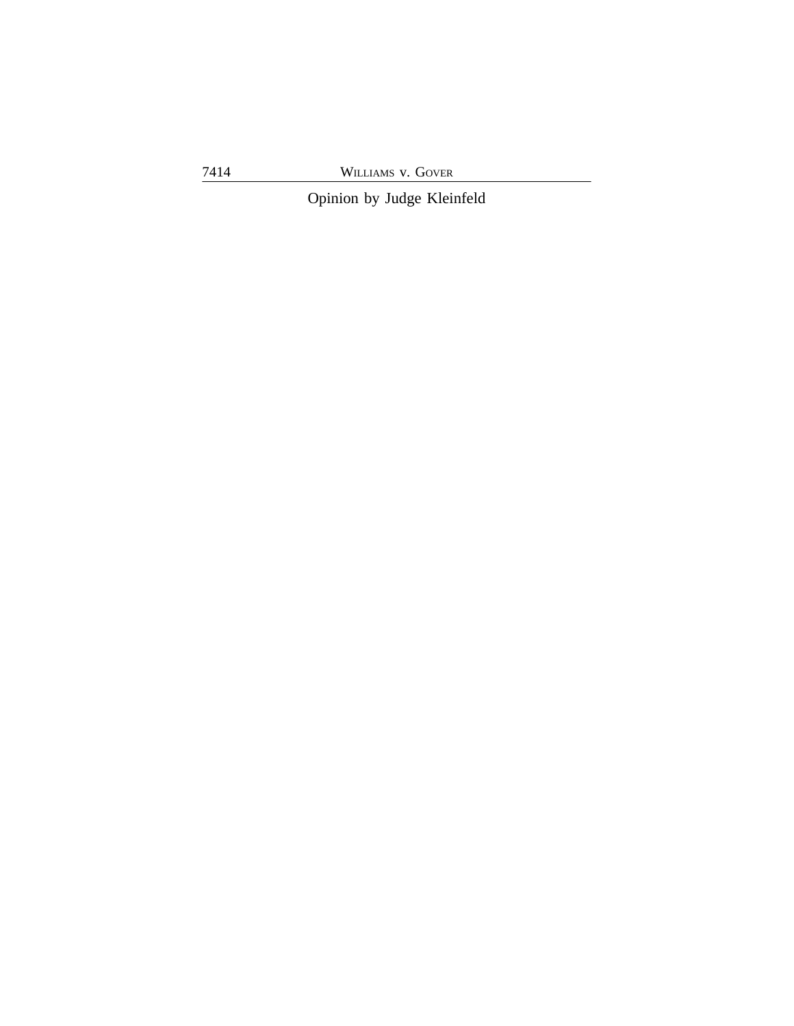7414 WILLIAMS v. GOVER

Opinion by Judge Kleinfeld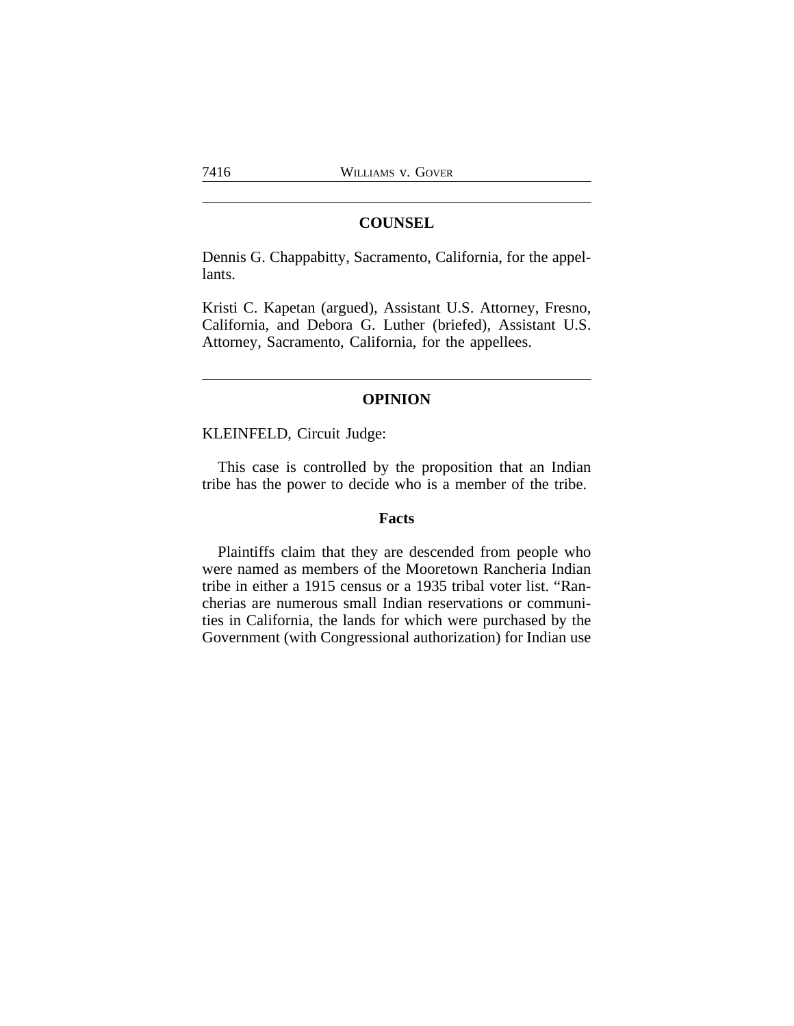### **COUNSEL**

Dennis G. Chappabitty, Sacramento, California, for the appellants.

Kristi C. Kapetan (argued), Assistant U.S. Attorney, Fresno, California, and Debora G. Luther (briefed), Assistant U.S. Attorney, Sacramento, California, for the appellees.

### **OPINION**

KLEINFELD, Circuit Judge:

This case is controlled by the proposition that an Indian tribe has the power to decide who is a member of the tribe.

### **Facts**

Plaintiffs claim that they are descended from people who were named as members of the Mooretown Rancheria Indian tribe in either a 1915 census or a 1935 tribal voter list. "Rancherias are numerous small Indian reservations or communities in California, the lands for which were purchased by the Government (with Congressional authorization) for Indian use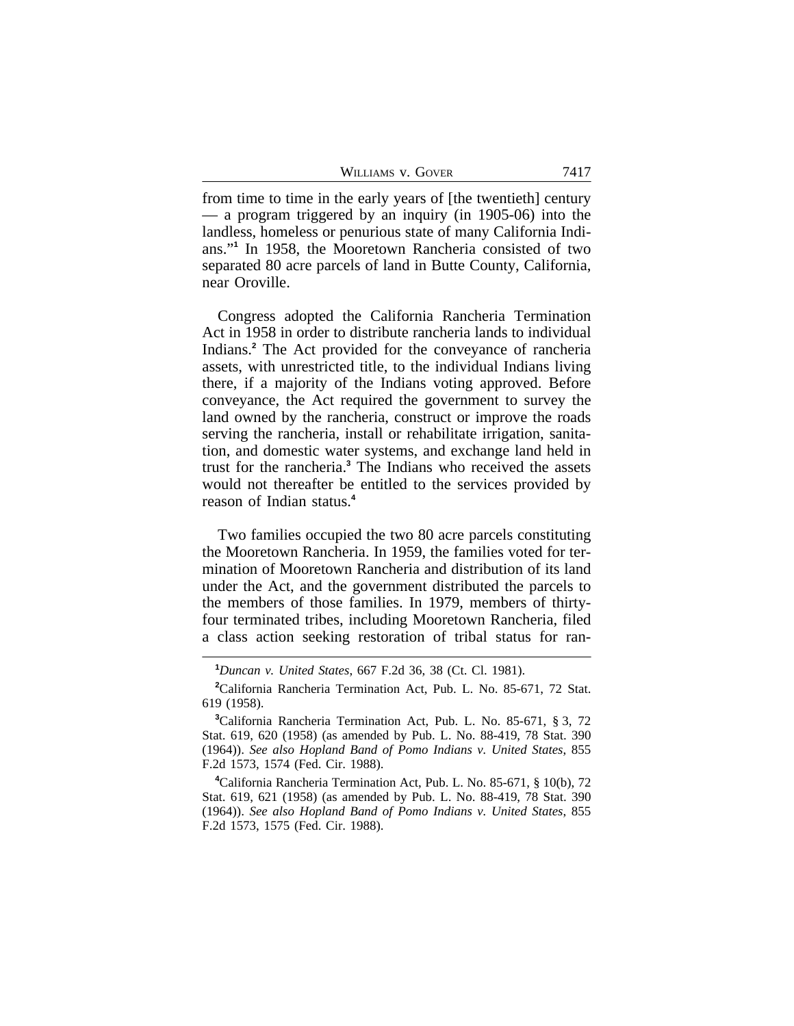| WILLIAMS V. GOVER | 7417 |
|-------------------|------|
|-------------------|------|

from time to time in the early years of [the twentieth] century — a program triggered by an inquiry (in 1905-06) into the landless, homeless or penurious state of many California Indians."**<sup>1</sup>** In 1958, the Mooretown Rancheria consisted of two separated 80 acre parcels of land in Butte County, California, near Oroville.

Congress adopted the California Rancheria Termination Act in 1958 in order to distribute rancheria lands to individual Indians.**<sup>2</sup>** The Act provided for the conveyance of rancheria assets, with unrestricted title, to the individual Indians living there, if a majority of the Indians voting approved. Before conveyance, the Act required the government to survey the land owned by the rancheria, construct or improve the roads serving the rancheria, install or rehabilitate irrigation, sanitation, and domestic water systems, and exchange land held in trust for the rancheria.**<sup>3</sup>** The Indians who received the assets would not thereafter be entitled to the services provided by reason of Indian status.**<sup>4</sup>**

Two families occupied the two 80 acre parcels constituting the Mooretown Rancheria. In 1959, the families voted for termination of Mooretown Rancheria and distribution of its land under the Act, and the government distributed the parcels to the members of those families. In 1979, members of thirtyfour terminated tribes, including Mooretown Rancheria, filed a class action seeking restoration of tribal status for ran-

**<sup>4</sup>**California Rancheria Termination Act, Pub. L. No. 85-671, § 10(b), 72 Stat. 619, 621 (1958) (as amended by Pub. L. No. 88-419, 78 Stat. 390 (1964)). *See also Hopland Band of Pomo Indians v. United States*, 855 F.2d 1573, 1575 (Fed. Cir. 1988).

**<sup>1</sup>***Duncan v. United States*, 667 F.2d 36, 38 (Ct. Cl. 1981).

**<sup>2</sup>**California Rancheria Termination Act, Pub. L. No. 85-671, 72 Stat. 619 (1958).

**<sup>3</sup>**California Rancheria Termination Act, Pub. L. No. 85-671, § 3, 72 Stat. 619, 620 (1958) (as amended by Pub. L. No. 88-419, 78 Stat. 390 (1964)). *See also Hopland Band of Pomo Indians v. United States*, 855 F.2d 1573, 1574 (Fed. Cir. 1988).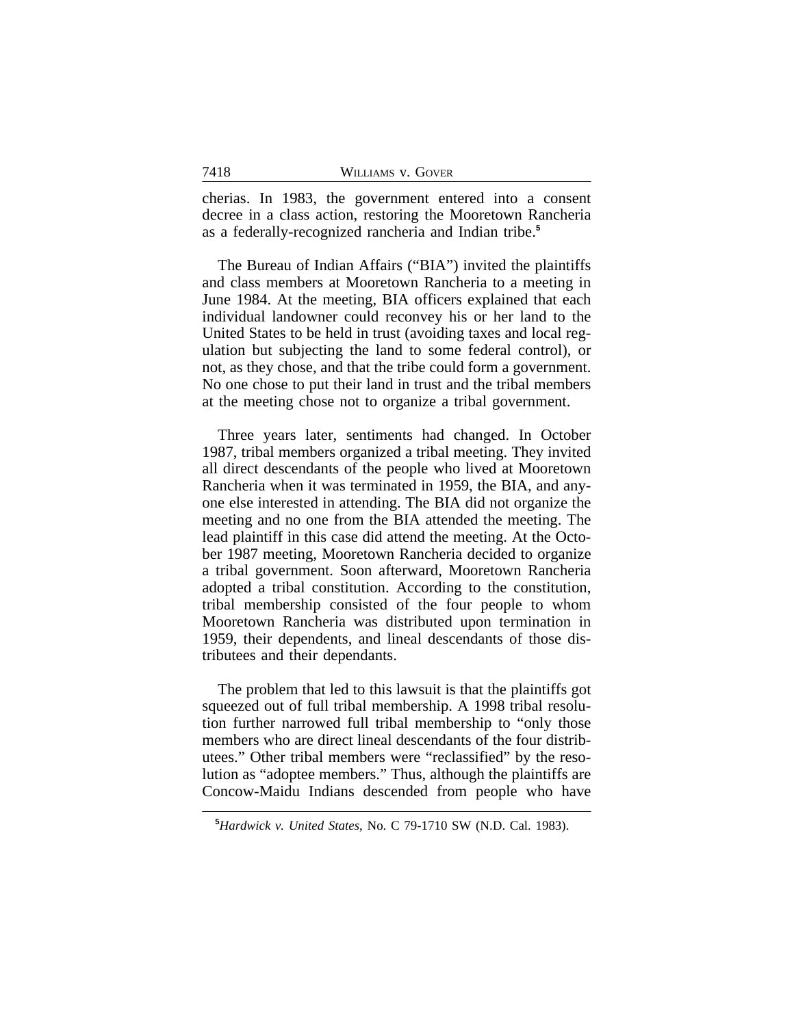| 7418 | WILLIAMS V. GOVER |  |
|------|-------------------|--|
|      |                   |  |

cherias. In 1983, the government entered into a consent decree in a class action, restoring the Mooretown Rancheria as a federally-recognized rancheria and Indian tribe.**<sup>5</sup>**

The Bureau of Indian Affairs ("BIA") invited the plaintiffs and class members at Mooretown Rancheria to a meeting in June 1984. At the meeting, BIA officers explained that each individual landowner could reconvey his or her land to the United States to be held in trust (avoiding taxes and local regulation but subjecting the land to some federal control), or not, as they chose, and that the tribe could form a government. No one chose to put their land in trust and the tribal members at the meeting chose not to organize a tribal government.

Three years later, sentiments had changed. In October 1987, tribal members organized a tribal meeting. They invited all direct descendants of the people who lived at Mooretown Rancheria when it was terminated in 1959, the BIA, and anyone else interested in attending. The BIA did not organize the meeting and no one from the BIA attended the meeting. The lead plaintiff in this case did attend the meeting. At the October 1987 meeting, Mooretown Rancheria decided to organize a tribal government. Soon afterward, Mooretown Rancheria adopted a tribal constitution. According to the constitution, tribal membership consisted of the four people to whom Mooretown Rancheria was distributed upon termination in 1959, their dependents, and lineal descendants of those distributees and their dependants.

The problem that led to this lawsuit is that the plaintiffs got squeezed out of full tribal membership. A 1998 tribal resolution further narrowed full tribal membership to "only those members who are direct lineal descendants of the four distributees." Other tribal members were "reclassified" by the resolution as "adoptee members." Thus, although the plaintiffs are Concow-Maidu Indians descended from people who have

**<sup>5</sup>***Hardwick v. United States*, No. C 79-1710 SW (N.D. Cal. 1983).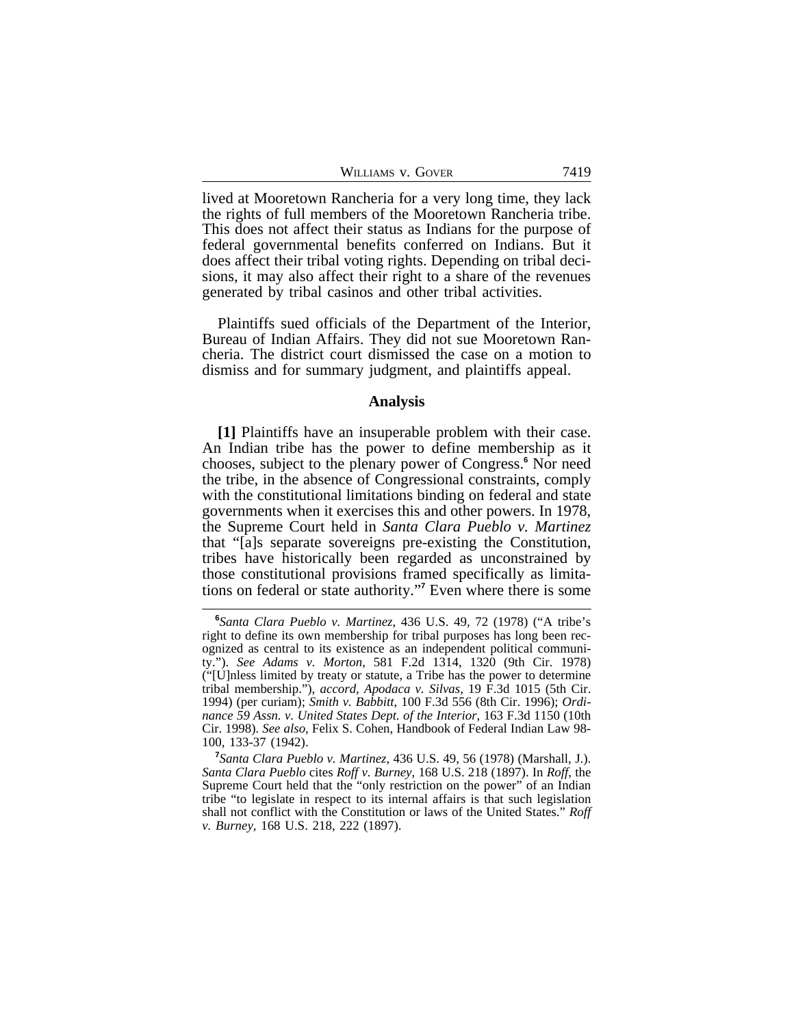| WILLIAMS V. GOVER | 7419 |
|-------------------|------|
|-------------------|------|

lived at Mooretown Rancheria for a very long time, they lack the rights of full members of the Mooretown Rancheria tribe. This does not affect their status as Indians for the purpose of federal governmental benefits conferred on Indians. But it does affect their tribal voting rights. Depending on tribal decisions, it may also affect their right to a share of the revenues generated by tribal casinos and other tribal activities.

Plaintiffs sued officials of the Department of the Interior, Bureau of Indian Affairs. They did not sue Mooretown Rancheria. The district court dismissed the case on a motion to dismiss and for summary judgment, and plaintiffs appeal.

#### **Analysis**

**[1]** Plaintiffs have an insuperable problem with their case. An Indian tribe has the power to define membership as it chooses, subject to the plenary power of Congress.**<sup>6</sup>** Nor need the tribe, in the absence of Congressional constraints, comply with the constitutional limitations binding on federal and state governments when it exercises this and other powers. In 1978, the Supreme Court held in *Santa Clara Pueblo v. Martinez* that "[a]s separate sovereigns pre-existing the Constitution, tribes have historically been regarded as unconstrained by those constitutional provisions framed specifically as limitations on federal or state authority." **7** Even where there is some

**<sup>6</sup>** *Santa Clara Pueblo v. Martinez*, 436 U.S. 49, 72 (1978) ("A tribe's right to define its own membership for tribal purposes has long been recognized as central to its existence as an independent political community."). *See Adams v. Morton*, 581 F.2d 1314, 1320 (9th Cir. 1978) ("[U]nless limited by treaty or statute, a Tribe has the power to determine tribal membership."), *accord*, *Apodaca v. Silvas*, 19 F.3d 1015 (5th Cir. 1994) (per curiam); *Smith v. Babbitt*, 100 F.3d 556 (8th Cir. 1996); *Ordinance 59 Assn. v. United States Dept. of the Interior*, 163 F.3d 1150 (10th Cir. 1998). *See also*, Felix S. Cohen, Handbook of Federal Indian Law 98- 100, 133-37 (1942).

**<sup>7</sup>** *Santa Clara Pueblo v. Martinez*, 436 U.S. 49, 56 (1978) (Marshall, J.). *Santa Clara Pueblo* cites *Roff v. Burney*, 168 U.S. 218 (1897). In *Roff*, the Supreme Court held that the "only restriction on the power" of an Indian tribe "to legislate in respect to its internal affairs is that such legislation shall not conflict with the Constitution or laws of the United States." *Roff v. Burney*, 168 U.S. 218, 222 (1897).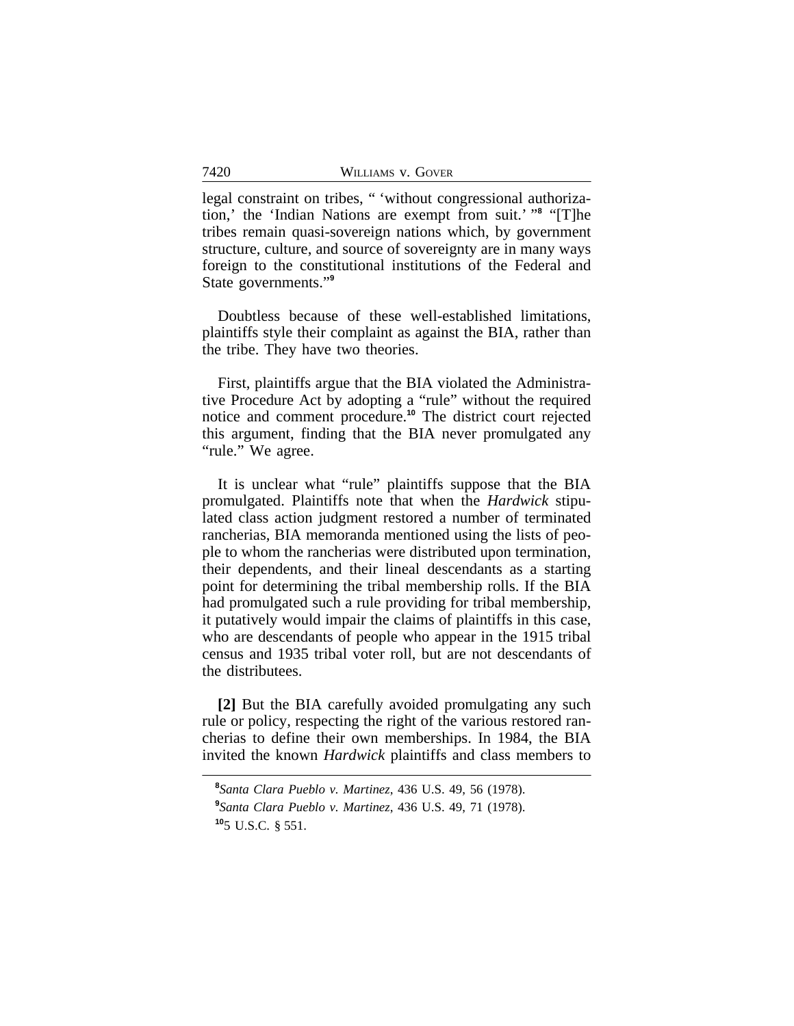legal constraint on tribes, " 'without congressional authorization,' the 'Indian Nations are exempt from suit.' " **8** "[T]he tribes remain quasi-sovereign nations which, by government structure, culture, and source of sovereignty are in many ways foreign to the constitutional institutions of the Federal and State governments." **9**

Doubtless because of these well-established limitations, plaintiffs style their complaint as against the BIA, rather than the tribe. They have two theories.

First, plaintiffs argue that the BIA violated the Administrative Procedure Act by adopting a "rule" without the required notice and comment procedure.**<sup>10</sup>** The district court rejected this argument, finding that the BIA never promulgated any "rule." We agree.

It is unclear what "rule" plaintiffs suppose that the BIA promulgated. Plaintiffs note that when the *Hardwick* stipulated class action judgment restored a number of terminated rancherias, BIA memoranda mentioned using the lists of people to whom the rancherias were distributed upon termination, their dependents, and their lineal descendants as a starting point for determining the tribal membership rolls. If the BIA had promulgated such a rule providing for tribal membership, it putatively would impair the claims of plaintiffs in this case, who are descendants of people who appear in the 1915 tribal census and 1935 tribal voter roll, but are not descendants of the distributees.

**[2]** But the BIA carefully avoided promulgating any such rule or policy, respecting the right of the various restored rancherias to define their own memberships. In 1984, the BIA invited the known *Hardwick* plaintiffs and class members to

**<sup>8</sup>** *Santa Clara Pueblo v. Martinez*, 436 U.S. 49, 56 (1978). **9** *Santa Clara Pueblo v. Martinez*, 436 U.S. 49, 71 (1978). **<sup>10</sup>**5 U.S.C. § 551.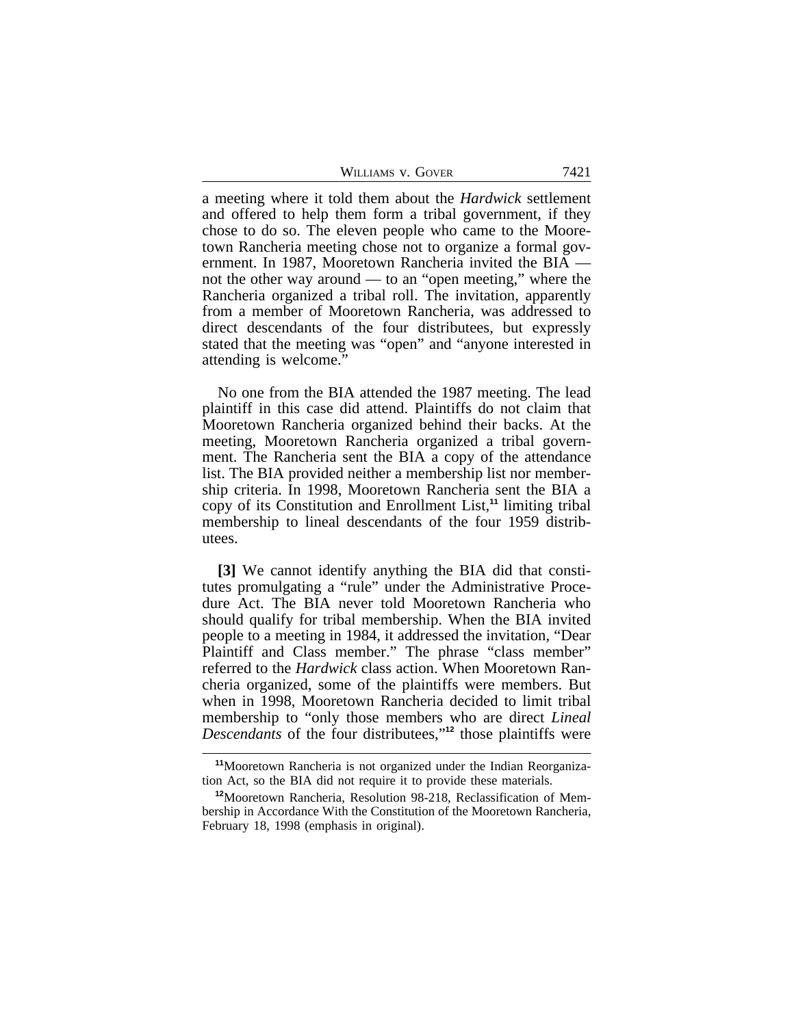| WILLIAMS V. GOVER | 7421 |
|-------------------|------|
|                   |      |

a meeting where it told them about the *Hardwick* settlement and offered to help them form a tribal government, if they chose to do so. The eleven people who came to the Mooretown Rancheria meeting chose not to organize a formal government. In 1987, Mooretown Rancheria invited the BIA not the other way around — to an "open meeting," where the Rancheria organized a tribal roll. The invitation, apparently from a member of Mooretown Rancheria, was addressed to direct descendants of the four distributees, but expressly stated that the meeting was "open" and "anyone interested in attending is welcome.'

No one from the BIA attended the 1987 meeting. The lead plaintiff in this case did attend. Plaintiffs do not claim that Mooretown Rancheria organized behind their backs. At the meeting, Mooretown Rancheria organized a tribal government. The Rancheria sent the BIA a copy of the attendance list. The BIA provided neither a membership list nor membership criteria. In 1998, Mooretown Rancheria sent the BIA a copy of its Constitution and Enrollment List,**<sup>11</sup>** limiting tribal membership to lineal descendants of the four 1959 distributees.

**[3]** We cannot identify anything the BIA did that constitutes promulgating a "rule" under the Administrative Procedure Act. The BIA never told Mooretown Rancheria who should qualify for tribal membership. When the BIA invited people to a meeting in 1984, it addressed the invitation, "Dear Plaintiff and Class member." The phrase "class member" referred to the *Hardwick* class action. When Mooretown Rancheria organized, some of the plaintiffs were members. But when in 1998, Mooretown Rancheria decided to limit tribal membership to "only those members who are direct *Lineal Descendants* of the four distributees," **<sup>12</sup>** those plaintiffs were

**<sup>11</sup>**Mooretown Rancheria is not organized under the Indian Reorganization Act, so the BIA did not require it to provide these materials.

**<sup>12</sup>**Mooretown Rancheria, Resolution 98-218, Reclassification of Membership in Accordance With the Constitution of the Mooretown Rancheria, February 18, 1998 (emphasis in original).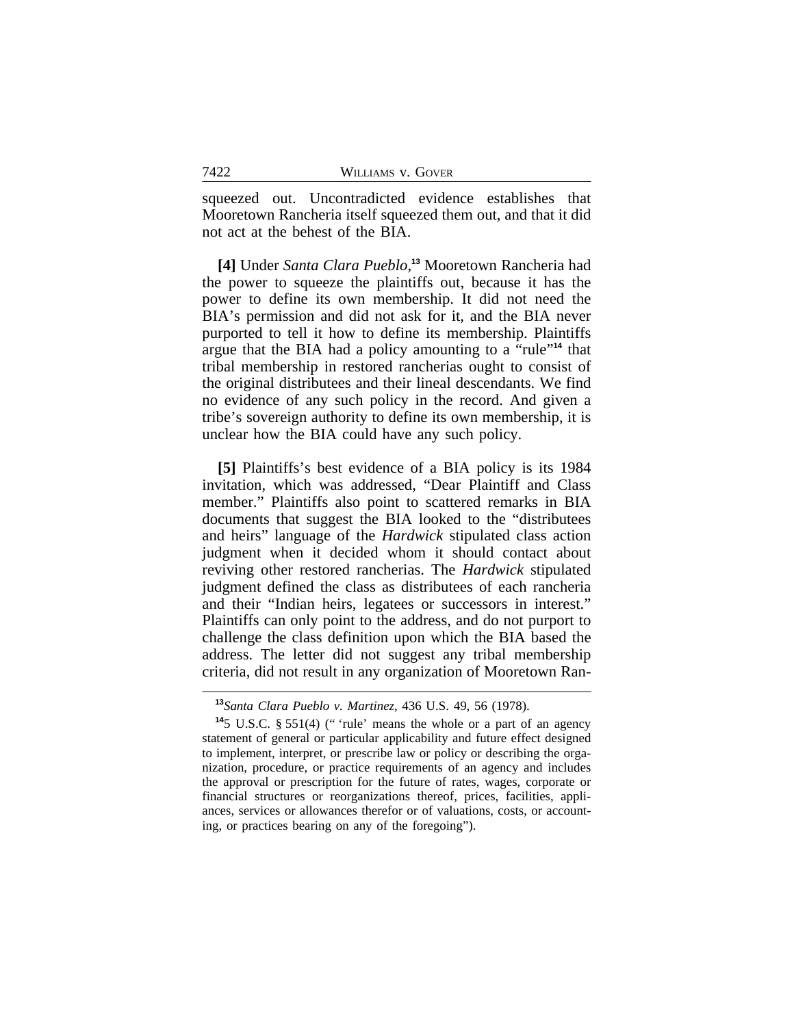squeezed out. Uncontradicted evidence establishes that Mooretown Rancheria itself squeezed them out, and that it did not act at the behest of the BIA.

**[4]** Under *Santa Clara Pueblo*, **<sup>13</sup>** Mooretown Rancheria had the power to squeeze the plaintiffs out, because it has the power to define its own membership. It did not need the BIA's permission and did not ask for it, and the BIA never purported to tell it how to define its membership. Plaintiffs argue that the BIA had a policy amounting to a "rule" **<sup>14</sup>** that tribal membership in restored rancherias ought to consist of the original distributees and their lineal descendants. We find no evidence of any such policy in the record. And given a tribe's sovereign authority to define its own membership, it is unclear how the BIA could have any such policy.

**[5]** Plaintiffs's best evidence of a BIA policy is its 1984 invitation, which was addressed, "Dear Plaintiff and Class member." Plaintiffs also point to scattered remarks in BIA documents that suggest the BIA looked to the "distributees and heirs" language of the *Hardwick* stipulated class action judgment when it decided whom it should contact about reviving other restored rancherias. The *Hardwick* stipulated judgment defined the class as distributees of each rancheria and their "Indian heirs, legatees or successors in interest." Plaintiffs can only point to the address, and do not purport to challenge the class definition upon which the BIA based the address. The letter did not suggest any tribal membership criteria, did not result in any organization of Mooretown Ran-

**<sup>13</sup>***Santa Clara Pueblo v. Martinez*, 436 U.S. 49, 56 (1978).

**<sup>14</sup>**5 U.S.C. § 551(4) (" 'rule' means the whole or a part of an agency statement of general or particular applicability and future effect designed to implement, interpret, or prescribe law or policy or describing the organization, procedure, or practice requirements of an agency and includes the approval or prescription for the future of rates, wages, corporate or financial structures or reorganizations thereof, prices, facilities, appliances, services or allowances therefor or of valuations, costs, or accounting, or practices bearing on any of the foregoing").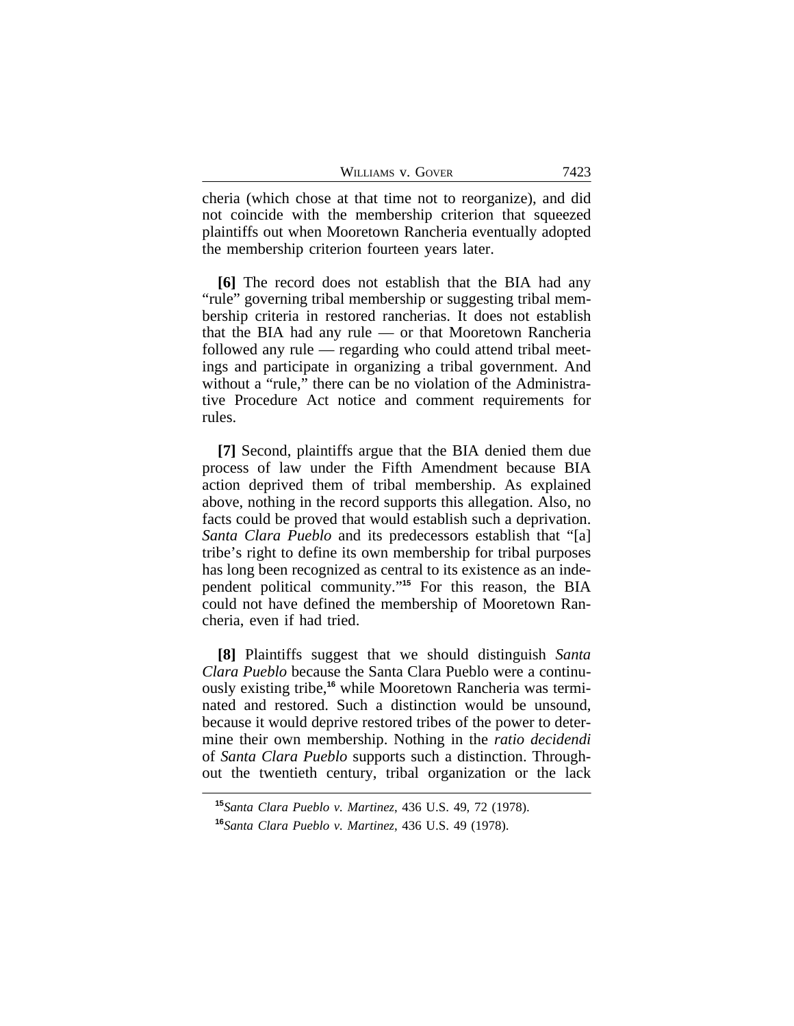| 7423 |
|------|
|      |

cheria (which chose at that time not to reorganize), and did not coincide with the membership criterion that squeezed plaintiffs out when Mooretown Rancheria eventually adopted the membership criterion fourteen years later.

**[6]** The record does not establish that the BIA had any "rule" governing tribal membership or suggesting tribal membership criteria in restored rancherias. It does not establish that the BIA had any rule — or that Mooretown Rancheria followed any rule — regarding who could attend tribal meetings and participate in organizing a tribal government. And without a "rule," there can be no violation of the Administrative Procedure Act notice and comment requirements for rules.

**[7]** Second, plaintiffs argue that the BIA denied them due process of law under the Fifth Amendment because BIA action deprived them of tribal membership. As explained above, nothing in the record supports this allegation. Also, no facts could be proved that would establish such a deprivation. *Santa Clara Pueblo* and its predecessors establish that "[a] tribe's right to define its own membership for tribal purposes has long been recognized as central to its existence as an independent political community." **<sup>15</sup>** For this reason, the BIA could not have defined the membership of Mooretown Rancheria, even if had tried.

**[8]** Plaintiffs suggest that we should distinguish *Santa Clara Pueblo* because the Santa Clara Pueblo were a continuously existing tribe,**16** while Mooretown Rancheria was terminated and restored. Such a distinction would be unsound, because it would deprive restored tribes of the power to determine their own membership. Nothing in the *ratio decidendi* of *Santa Clara Pueblo* supports such a distinction. Throughout the twentieth century, tribal organization or the lack

**<sup>15</sup>***Santa Clara Pueblo v. Martinez*, 436 U.S. 49, 72 (1978). **<sup>16</sup>***Santa Clara Pueblo v. Martinez*, 436 U.S. 49 (1978).